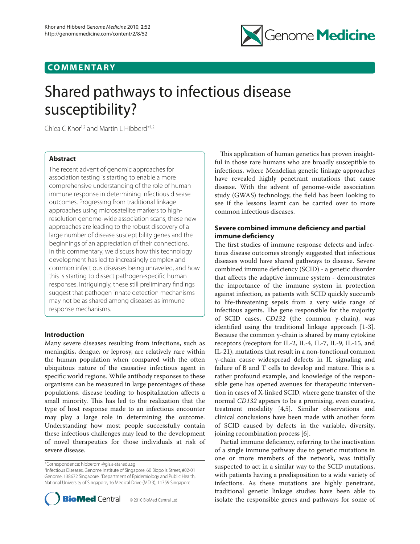

## **COMMENTARY**

# Shared pathways to infectious disease susceptibility?

Chiea C Khor1,2 and Martin L Hibberd\*1,2

## **Abstract**

The recent advent of genomic approaches for association testing is starting to enable a more comprehensive understanding of the role of human immune response in determining infectious disease outcomes. Progressing from traditional linkage approaches using microsatellite markers to highresolution genome-wide association scans, these new approaches are leading to the robust discovery of a large number of disease susceptibility genes and the beginnings of an appreciation of their connections. In this commentary, we discuss how this technology development has led to increasingly complex and common infectious diseases being unraveled, and how this is starting to dissect pathogen-specific human responses. Intriguingly, these still preliminary findings suggest that pathogen innate detection mechanisms may not be as shared among diseases as immune response mechanisms.

## **Introduction**

Many severe diseases resulting from infections, such as meningitis, dengue, or leprosy, are relatively rare within the human population when compared with the often ubiquitous nature of the causative infectious agent in specific world regions. While antibody responses to these organisms can be measured in large percentages of these populations, disease leading to hospitalization affects a small minority. This has led to the realization that the type of host response made to an infectious encounter may play a large role in determining the outcome. Understanding how most people successfully contain these infectious challenges may lead to the development of novel therapeutics for those individuals at risk of severe disease.

\*Correspondence: hibberdml@gis.a-star.edu.sg

<sup>1</sup> Infectious Diseases, Genome Institute of Singapore, 60 Biopolis Street, #02-01 Genome, 138672 Singapore. 2 Department of Epidemiology and Public Health, National University of Singapore, 16 Medical Drive (MD 3), 11759 Singapore



This application of human genetics has proven insightful in those rare humans who are broadly susceptible to infections, where Mendelian genetic linkage approaches have revealed highly penetrant mutations that cause disease. With the advent of genome-wide association study (GWAS) technology, the field has been looking to see if the lessons learnt can be carried over to more common infectious diseases.

## **Severe combined immune deficiency and partial immune deficiency**

The first studies of immune response defects and infectious disease outcomes strongly suggested that infectious diseases would have shared pathways to disease. Severe combined immune deficiency (SCID) - a genetic disorder that affects the adaptive immune system - demonstrates the importance of the immune system in protection against infection, as patients with SCID quickly succumb to life-threatening sepsis from a very wide range of infectious agents. The gene responsible for the majority of SCID cases, *CD132* (the common γ-chain), was identified using the traditional linkage approach [1-3]. Because the common  $\gamma$ -chain is shared by many cytokine receptors (receptors for IL-2, IL-4, IL-7, IL-9, IL-15, and IL-21), mutations that result in a non-functional common γ-chain cause widespread defects in IL signaling and failure of B and T cells to develop and mature. This is a rather profound example, and knowledge of the responsible gene has opened avenues for therapeutic intervention in cases of X-linked SCID, where gene transfer of the normal *CD132* appears to be a promising, even curative, treatment modality [4,5]. Similar observations and clinical conclusions have been made with another form of SCID caused by defects in the variable, diversity, joining recombination process [6].

Partial immune deficiency, referring to the inactivation of a single immune pathway due to genetic mutations in one or more members of the network, was initially suspected to act in a similar way to the SCID mutations, with patients having a predisposition to a wide variety of infections. As these mutations are highly penetrant, traditional genetic linkage studies have been able to isolate the responsible genes and pathways for some of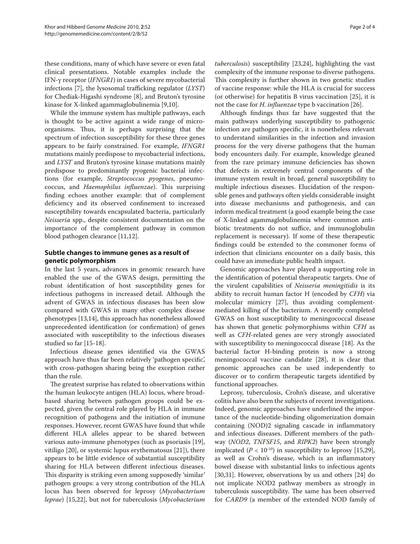these conditions, many of which have severe or even fatal clinical presentations. Notable examples include the IFN-γ receptor (*IFNGR1*) in cases of severe mycobacterial infections [7], the lysosomal trafficking regulator (*LYST*) for Chediak-Higashi syndrome [8], and Bruton's tyrosine kinase for X-linked agammaglobulinemia [9,10].

While the immune system has multiple pathways, each is thought to be active against a wide range of microorganisms. Thus, it is perhaps surprising that the spectrum of infection susceptibility for these three genes appears to be fairly constrained. For example, *IFNGR1*  mutations mainly predispose to mycobacterial infections, and *LYST* and Bruton's tyrosine kinase mutations mainly predispose to predominantly pyogenic bacterial infections (for example, *Streptococcus pyogenes*, pneumococcus, and *Haemophilus influenzae*). This surprising finding echoes another example: that of complement deficiency and its observed confinement to increased susceptibility towards encapsulated bacteria, particularly *Neisseria* spp., despite consistent documentation on the importance of the complement pathway in common blood pathogen clearance [11,12].

## **Subtle changes to immune genes as a result of genetic polymorphism**

In the last 5 years, advances in genomic research have enabled the use of the GWAS design, permitting the robust identification of host susceptibility genes for infectious pathogens in increased detail. Although the advent of GWAS in infectious diseases has been slow compared with GWAS in many other complex disease phenotypes [13,14], this approach has nonetheless allowed unprecedented identification (or confirmation) of genes associated with susceptibility to the infectious diseases studied so far [15-18].

Infectious disease genes identified via the GWAS approach have thus far been relatively 'pathogen specific', with cross-pathogen sharing being the exception rather than the rule.

The greatest surprise has related to observations within the human leukocyte antigen (HLA) locus, where broadbased sharing between pathogen groups could be expected, given the central role played by HLA in immune recognition of pathogens and the initiation of immune responses. However, recent GWAS have found that while different HLA alleles appear to be shared between various auto-immune phenotypes (such as psoriasis [19], vitiligo [20], or systemic lupus erythematosus [21]), there appears to be little evidence of substantial susceptibility sharing for HLA between different infectious diseases. This disparity is striking even among supposedly 'similar' pathogen groups: a very strong contribution of the HLA locus has been observed for leprosy (*Mycobacterium leprae*) [15,22], but not for tuberculosis (*Mycobacterium*  *tuberculosis*) susceptibility [23,24], highlighting the vast complexity of the immune response to diverse pathogens. This complexity is further shown in two genetic studies of vaccine response: while the HLA is crucial for success (or otherwise) for hepatitis B virus vaccination [25], it is not the case for *H. influenzae* type b vaccination [26].

Although findings thus far have suggested that the main pathways underlying susceptibility to pathogenic infection are pathogen specific, it is nonetheless relevant to understand similarities in the infection and invasion process for the very diverse pathogens that the human body encounters daily. For example, knowledge gleaned from the rare primary immune deficiencies has shown that defects in extremely central components of the immune system result in broad, general susceptibility to multiple infectious diseases. Elucidation of the responsible genes and pathways often yields considerable insight into disease mechanisms and pathogenesis, and can inform medical treatment (a good example being the case of X-linked agammaglobulinemia where common antibiotic treatments do not suffice, and immunoglobulin replacement is necessary). If some of these therapeutic findings could be extended to the commoner forms of infection that clinicians encounter on a daily basis, this could have an immediate public health impact.

Genomic approaches have played a supporting role in the identification of potential therapeutic targets. One of the virulent capabilities of *Neisseria meningitidis* is its ability to recruit human factor H (encoded by *CFH*) via molecular mimicry [27], thus avoiding complementmediated killing of the bacterium. A recently completed GWAS on host susceptibility to meningococcal disease has shown that genetic polymorphisms within *CFH* as well as *CFH*-related genes are very strongly associated with susceptibility to meningococcal disease [18]. As the bacterial factor H-binding protein is now a strong meningococcal vaccine candidate [28], it is clear that genomic approaches can be used independently to discover or to confirm therapeutic targets identified by functional approaches.

Leprosy, tuberculosis, Crohn's disease, and ulcerative colitis have also been the subjects of recent investigations. Indeed, genomic approaches have underlined the importance of the nucleotide-binding oligomerization domain containing (NOD)2 signaling cascade in inflammatory and infectious diseases. Different members of the pathway (*NOD2*, *TNFSF15*, and *RIPK2*) have been strongly implicated  $(P < 10^{-10})$  in susceptibility to leprosy [15,29], as well as Crohn's disease, which is an inflammatory bowel disease with substantial links to infectious agents [30,31]. However, observations by us and others [24] do not implicate NOD2 pathway members as strongly in tuberculosis susceptibility. The same has been observed for *CARD9* (a member of the extended NOD family of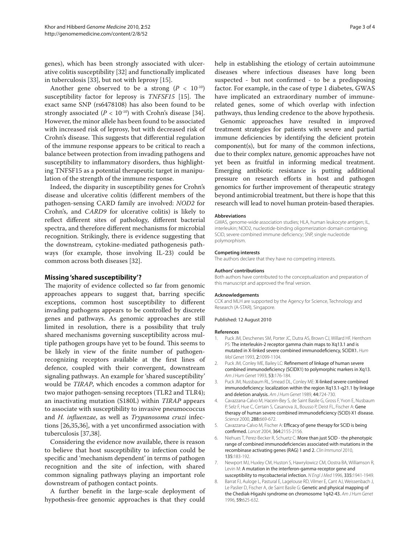genes), which has been strongly associated with ulcerative colitis susceptibility [32] and functionally implicated in tuberculosis [33], but not with leprosy [15].

Another gene observed to be a strong  $(P < 10^{-10})$ susceptibility factor for leprosy is *TNFSF15* [15]. The exact same SNP (rs6478108) has also been found to be strongly associated  $(P < 10^{-10})$  with Crohn's disease [34]. However, the minor allele has been found to be associated with increased risk of leprosy, but with decreased risk of Crohn's disease. This suggests that differential regulation of the immune response appears to be critical to reach a balance between protection from invading pathogens and susceptibility to inflammatory disorders, thus highlighting TNFSF15 as a potential therapeutic target in manipulation of the strength of the immune response.

Indeed, the disparity in susceptibility genes for Crohn's disease and ulcerative colitis (different members of the pathogen-sensing CARD family are involved: *NOD2* for Crohn's, and *CARD9* for ulcerative colitis) is likely to reflect different sites of pathology, different bacterial spectra, and therefore different mechanisms for microbial recognition. Strikingly, there is evidence suggesting that the downstream, cytokine-mediated pathogenesis pathways (for example, those involving IL-23) could be common across both diseases [32].

### **Missing 'shared susceptibility'?**

The majority of evidence collected so far from genomic approaches appears to suggest that, barring specific exceptions, common host susceptibility to different invading pathogens appears to be controlled by discrete genes and pathways. As genomic approaches are still limited in resolution, there is a possibility that truly shared mechanisms governing susceptibility across multiple pathogen groups have yet to be found. This seems to be likely in view of the finite number of pathogenrecognizing receptors available at the first lines of defence, coupled with their convergent, downstream signaling pathways. An example for 'shared susceptibility' would be *TIRAP*, which encodes a common adaptor for two major pathogen-sensing receptors (TLR2 and TLR4); an inactivating mutation (S180L) within *TIRAP* appears to associate with susceptibility to invasive pneumococcus and *H. influenzae*, as well as *Trypanosoma cruzi* infections [26,35,36], with a yet unconfirmed association with tuberculosis [37,38].

Considering the evidence now available, there is reason to believe that host susceptibility to infection could be specific and 'mechanism dependent' in terms of pathogen recognition and the site of infection, with shared common signaling pathways playing an important role downstream of pathogen contact points.

A further benefit in the large-scale deployment of hypothesis-free genomic approaches is that they could help in establishing the etiology of certain autoimmune diseases where infectious diseases have long been suspected - but not confirmed - to be a predisposing factor. For example, in the case of type 1 diabetes, GWAS have implicated an extraordinary number of immunerelated genes, some of which overlap with infection pathways, thus lending credence to the above hypothesis.

Genomic approaches have resulted in improved treatment strategies for patients with severe and partial immune deficiencies by identifying the deficient protein component(s), but for many of the common infections, due to their complex nature, genomic approaches have not yet been as fruitful in informing medical treatment. Emerging antibiotic resistance is putting additional pressure on research efforts in host and pathogen genomics for further improvement of therapeutic strategy beyond antimicrobial treatment, but there is hope that this research will lead to novel human protein-based therapies.

#### **Abbreviations**

GWAS, genome-wide association studies; HLA, human leukocyte antigen; IL, interleukin; NOD2, nucleotide-binding oligomerization domain containing; SCID, severe combined immune deficiency; SNP, single nucleotide polymorphism.

#### **Competing interests**

The authors declare that they have no competing interests.

#### **Authors' contributions**

Both authors have contributed to the conceptualization and preparation of this manuscript and approved the final version.

#### **Acknowledgements**

CCK and MLH are supported by the Agency for Science, Technology and Research (A-STAR), Singapore.

#### Published: 12 August 2010

#### **References**

- Puck JM, Deschenes SM, Porter JC, Dutra AS, Brown CJ, Willard HF, Henthorn PS: The interleukin-2 receptor gamma chain maps to Xq13.1 and is mutated in X-linked severe combined immunodeficiency, SCIDX1. *Hum Mol Genet* 1993, 2:1099-1104.
- 2. Puck JM, Conley ME, Bailey LC: Refinement of linkage of human severe combined immunodeficiency (SCIDX1) to polymorphic markers in Xq13. *Am J Hum Genet* 1993, 53:176-184.
- 3. Puck JM, Nussbaum RL, Smead DL, Conley ME: X-linked severe combined immunodeficiency: localization within the region Xq13.1-q21.1 by linkage and deletion analysis. *Am J Hum Genet* 1989, 44:724-730.
- 4. Cavazzana-Calvo M, Hacein-Bey S, de Saint Basile G, Gross F, Yvon E, Nusbaum P, Selz F, Hue C, Certain S, Casanova JL, Bousso P, Deist FL, Fischer A: Gene therapy of human severe combined immunodeficiency (SCID)-X1 disease. *Science* 2000, 288:669-672.
- 5. Cavazzana-Calvo M, Fischer A: Efficacy of gene therapy for SCID is being confirmed. *Lancet* 2004, 364:2155-2156.
- Niehues T, Perez-Becker R, Schuetz C: More than just SCID the phenotypic range of combined immunodeficiencies associated with mutations in the recombinase activating genes (RAG) 1 and 2. *Clin Immunol* 2010, 135:183-192.
- 7. Newport MJ, Huxley CM, Huston S, Hawrylowicz CM, Oostra BA, Williamson R, Levin M: A mutation in the interferon-gamma-receptor gene and susceptibility to mycobacterial infection. *N Engl J Med* 1996, 335:1941-1949.
- 8. Barrat FJ, Auloge L, Pastural E, Lagelouse RD, Vilmer E, Cant AJ, Weissenbach J, Le Paslier D, Fischer A, de Saint Basile G: Genetic and physical mapping of the Chediak-Higashi syndrome on chromosome 1q42-43. *Am J Hum Genet*  1996, 59:625-632.